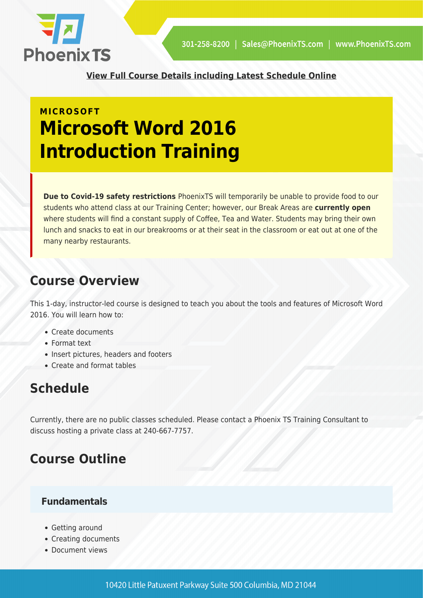

**[View Full Course Details including Latest Schedule Online](https://phoenixts.com/training-courses/microsoft-word-2016-introduction/)**

## **MICROSOFT Microsoft Word 2016 Introduction Training**

**Due to Covid-19 safety restrictions** PhoenixTS will temporarily be unable to provide food to our students who attend class at our Training Center; however, our Break Areas are **currently open** where students will find a constant supply of Coffee, Tea and Water. Students may bring their own lunch and snacks to eat in our breakrooms or at their seat in the classroom or eat out at one of the many nearby restaurants.

### **Course Overview**

This 1-day, instructor-led course is designed to teach you about the tools and features of Microsoft Word 2016. You will learn how to:

- Create documents
- Format text
- Insert pictures, headers and footers
- Create and format tables

### **Schedule**

Currently, there are no public classes scheduled. Please contact a Phoenix TS Training Consultant to discuss hosting a private class at 240-667-7757.

## **Course Outline**

#### **Fundamentals**

- Getting around
- Creating documents
- Document views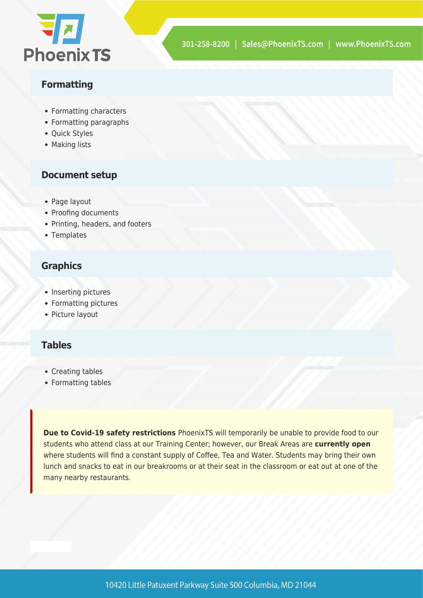

#### **Formatting**

- Formatting characters
- Formatting paragraphs
- Quick Styles
- Making lists

#### **Document setup**

- Page layout
- Proofing documents
- Printing, headers, and footers
- Templates

#### **Graphics**

- Inserting pictures
- Formatting pictures
- Picture layout

#### **Tables**

- Creating tables
- Formatting tables

**Due to Covid-19 safety restrictions** PhoenixTS will temporarily be unable to provide food to our students who attend class at our Training Center; however, our Break Areas are **currently open** where students will find a constant supply of Coffee, Tea and Water. Students may bring their own lunch and snacks to eat in our breakrooms or at their seat in the classroom or eat out at one of the many nearby restaurants.